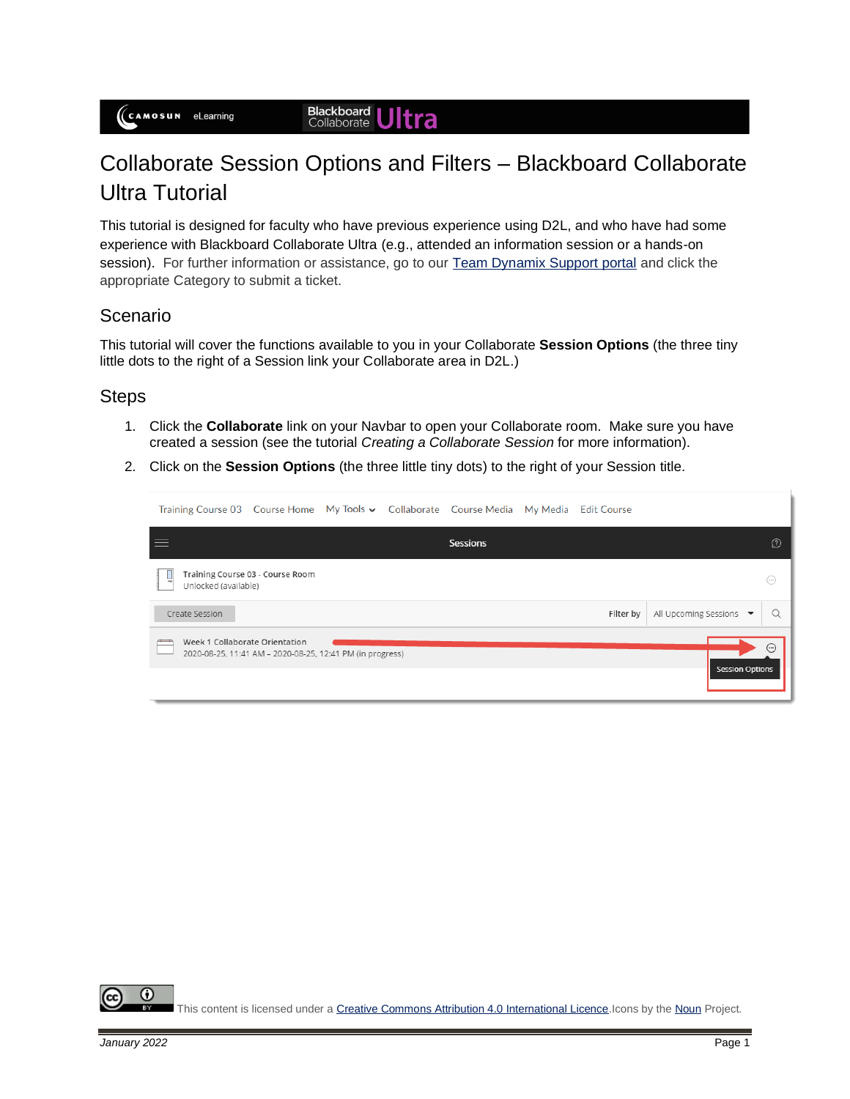# Collaborate Session Options and Filters – Blackboard Collaborate Ultra Tutorial

This tutorial is designed for faculty who have previous experience using D2L, and who have had some experience with Blackboard Collaborate Ultra (e.g., attended an information session or a hands-on session). For further information or assistance, go to our [Team Dynamix Support portal](https://camosun.teamdynamix.com/TDClient/67/Portal/Requests/ServiceCatalog?CategoryID=523) and click the appropriate Category to submit a ticket.

# Scenario

This tutorial will cover the functions available to you in your Collaborate **Session Options** (the three tiny little dots to the right of a Session link your Collaborate area in D2L.)

### **Steps**

- 1. Click the **Collaborate** link on your Navbar to open your Collaborate room. Make sure you have created a session (see the tutorial *Creating a Collaborate Session* for more information).
- 2. Click on the **Session Options** (the three little tiny dots) to the right of your Session title.

| Training Course 03 Course Home My Tools ► Collaborate Course Media |                                                           |  |          | My Media Edit Course |                        |            |
|--------------------------------------------------------------------|-----------------------------------------------------------|--|----------|----------------------|------------------------|------------|
| $\equiv$                                                           |                                                           |  | Sessions |                      |                        | $\Omega$   |
| 닣<br>Unlocked (available)                                          | Training Course 03 - Course Room                          |  |          |                      |                        | $(\cdots)$ |
| Create Session                                                     |                                                           |  |          | Filter by            | All Upcoming Sessions  |            |
| Week 1 Collaborate Orientation                                     | 2020-08-25, 11:41 AM - 2020-08-25, 12:41 PM (in progress) |  |          |                      | <b>Session Options</b> | ⊕          |

O This content is licensed under [a Creative Commons Attribution 4.0 International Licence.I](https://creativecommons.org/licenses/by/4.0/)cons by th[e Noun](https://creativecommons.org/website-icons/) Project.